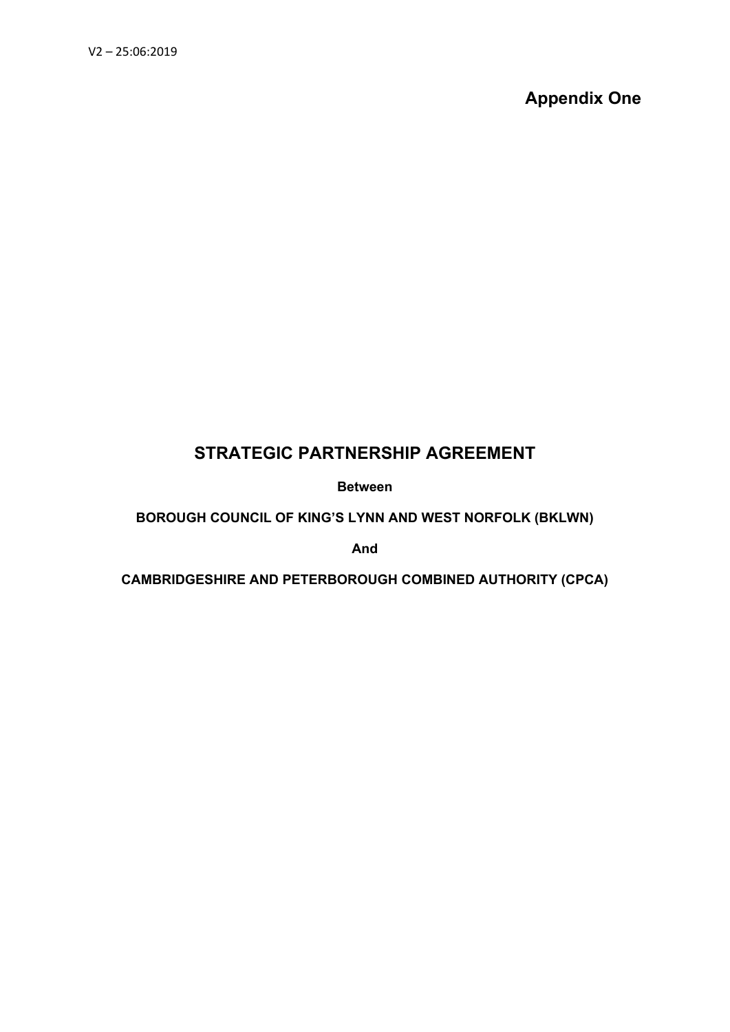**Appendix One**

## **STRATEGIC PARTNERSHIP AGREEMENT**

**Between**

**BOROUGH COUNCIL OF KING'S LYNN AND WEST NORFOLK (BKLWN)**

**And**

**CAMBRIDGESHIRE AND PETERBOROUGH COMBINED AUTHORITY (CPCA)**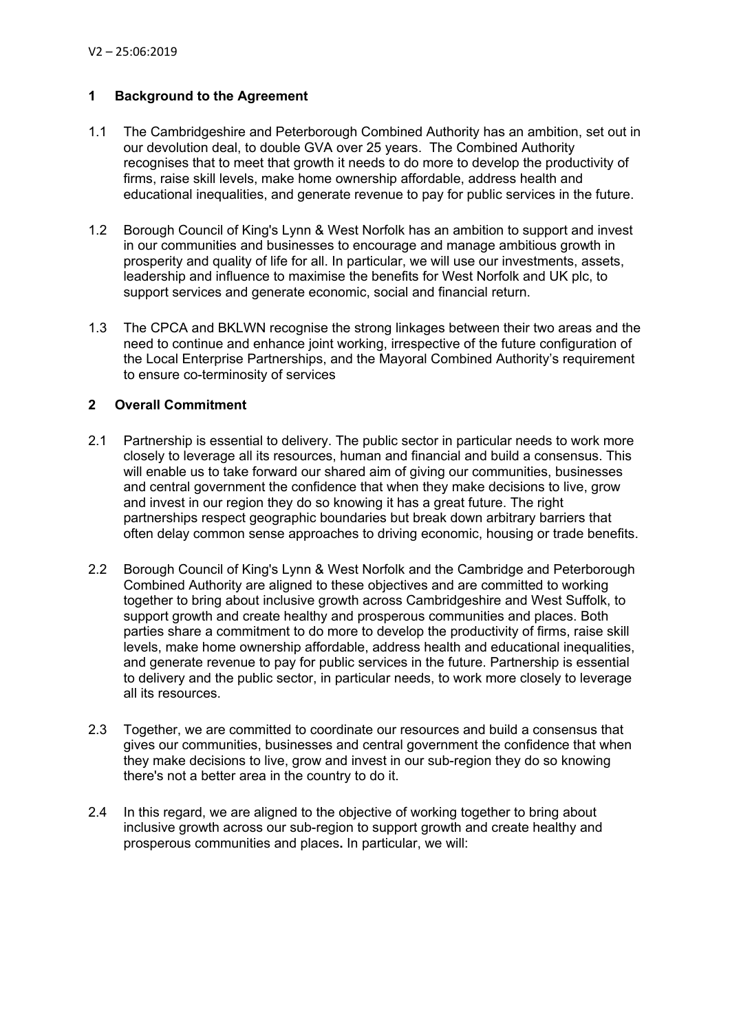## **1 Background to the Agreement**

- 1.1 The Cambridgeshire and Peterborough Combined Authority has an ambition, set out in our devolution deal, to double GVA over 25 years. The Combined Authority recognises that to meet that growth it needs to do more to develop the productivity of firms, raise skill levels, make home ownership affordable, address health and educational inequalities, and generate revenue to pay for public services in the future.
- 1.2 Borough Council of King's Lynn & West Norfolk has an ambition to support and invest in our communities and businesses to encourage and manage ambitious growth in prosperity and quality of life for all. In particular, we will use our investments, assets, leadership and influence to maximise the benefits for West Norfolk and UK plc, to support services and generate economic, social and financial return.
- 1.3 The CPCA and BKLWN recognise the strong linkages between their two areas and the need to continue and enhance joint working, irrespective of the future configuration of the Local Enterprise Partnerships, and the Mayoral Combined Authority's requirement to ensure co-terminosity of services

## **2 Overall Commitment**

- 2.1 Partnership is essential to delivery. The public sector in particular needs to work more closely to leverage all its resources, human and financial and build a consensus. This will enable us to take forward our shared aim of giving our communities, businesses and central government the confidence that when they make decisions to live, grow and invest in our region they do so knowing it has a great future. The right partnerships respect geographic boundaries but break down arbitrary barriers that often delay common sense approaches to driving economic, housing or trade benefits.
- 2.2 Borough Council of King's Lynn & West Norfolk and the Cambridge and Peterborough Combined Authority are aligned to these objectives and are committed to working together to bring about inclusive growth across Cambridgeshire and West Suffolk, to support growth and create healthy and prosperous communities and places. Both parties share a commitment to do more to develop the productivity of firms, raise skill levels, make home ownership affordable, address health and educational inequalities, and generate revenue to pay for public services in the future. Partnership is essential to delivery and the public sector, in particular needs, to work more closely to leverage all its resources.
- 2.3 Together, we are committed to coordinate our resources and build a consensus that gives our communities, businesses and central government the confidence that when they make decisions to live, grow and invest in our sub-region they do so knowing there's not a better area in the country to do it.
- 2.4 In this regard, we are aligned to the objective of working together to bring about inclusive growth across our sub-region to support growth and create healthy and prosperous communities and places**.** In particular, we will: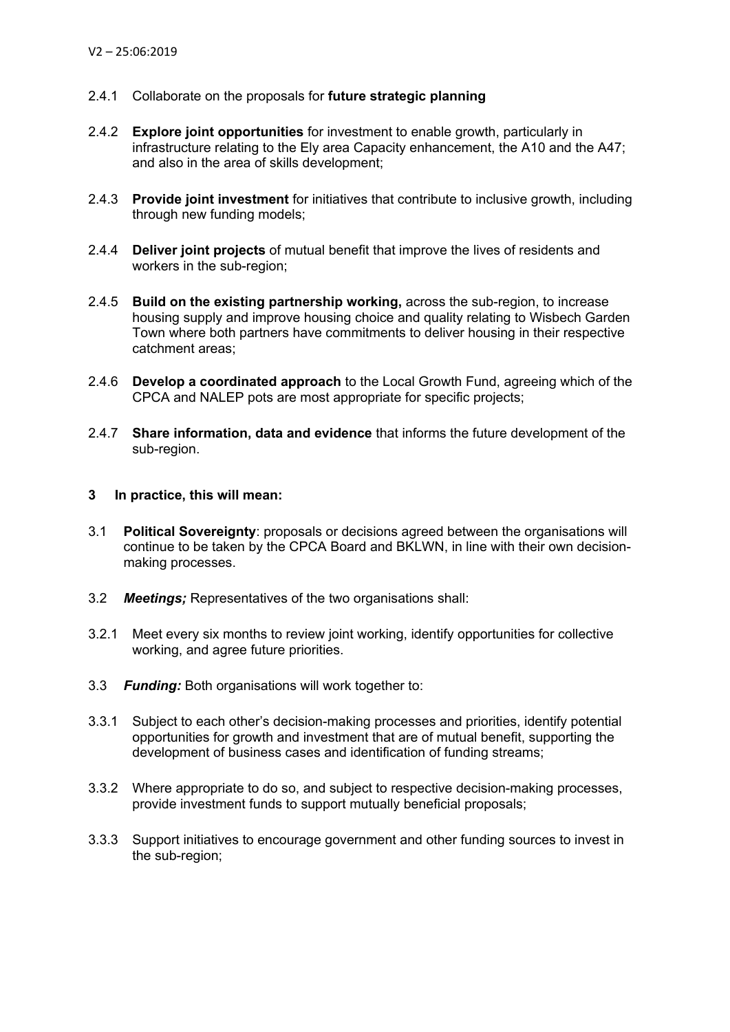- 2.4.1 Collaborate on the proposals for **future strategic planning**
- 2.4.2 **Explore joint opportunities** for investment to enable growth, particularly in infrastructure relating to the Ely area Capacity enhancement, the A10 and the A47; and also in the area of skills development;
- 2.4.3 **Provide joint investment** for initiatives that contribute to inclusive growth, including through new funding models;
- 2.4.4 **Deliver joint projects** of mutual benefit that improve the lives of residents and workers in the sub-region;
- 2.4.5 **Build on the existing partnership working,** across the sub-region, to increase housing supply and improve housing choice and quality relating to Wisbech Garden Town where both partners have commitments to deliver housing in their respective catchment areas;
- 2.4.6 **Develop a coordinated approach** to the Local Growth Fund, agreeing which of the CPCA and NALEP pots are most appropriate for specific projects;
- 2.4.7 **Share information, data and evidence** that informs the future development of the sub-region.

## **3 In practice, this will mean:**

- 3.1 **Political Sovereignty**: proposals or decisions agreed between the organisations will continue to be taken by the CPCA Board and BKLWN, in line with their own decisionmaking processes.
- 3.2 *Meetings;* Representatives of the two organisations shall:
- 3.2.1 Meet every six months to review joint working, identify opportunities for collective working, and agree future priorities.
- 3.3 *Funding:* Both organisations will work together to:
- 3.3.1 Subject to each other's decision-making processes and priorities, identify potential opportunities for growth and investment that are of mutual benefit, supporting the development of business cases and identification of funding streams;
- 3.3.2 Where appropriate to do so, and subject to respective decision-making processes, provide investment funds to support mutually beneficial proposals;
- 3.3.3 Support initiatives to encourage government and other funding sources to invest in the sub-region;